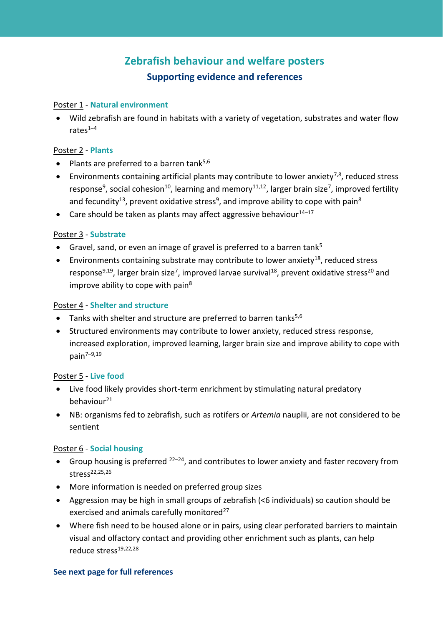# **Zebrafish behaviour and welfare posters Supporting evidence and references**

#### Poster 1 - **Natural environment**

• Wild zebrafish are found in habitats with a variety of vegetation, substrates and water flow rates $1-4$  $1-4$ 

## Poster 2 - **Plants**

- Plants are preferred to a barren tank $5,6$
- Environments containing artificial plants may contribute to lower anxiety<sup>[7,8](#page-1-0)</sup>, reduced stress response<sup>[9](#page-1-0)</sup>, social cohesion<sup>[10](#page-1-0)</sup>, learning and memory<sup>[11,12](#page-1-0)</sup>, larger brain size<sup>[7](#page-1-0)</sup>, improved fertility and fecundity<sup>[13](#page-1-0)</sup>, prevent oxidative stress<sup>[9](#page-1-0)</sup>, and improve ability to cope with pain<sup>[8](#page-1-0)</sup>
- Care should be taken as plants may affect aggressive behaviour $14-17$  $14-17$

## Poster 3 - **Substrate**

- Gravel, sand, or even an image of gravel is preferred to a barren tank<sup>[5](#page-1-0)</sup>
- Environments containing substrate may contribute to lower anxiety<sup>[18](#page-2-0)</sup>, reduced stress response<sup>[9,](#page-1-0)[19](#page-2-0)</sup>, larger brain size<sup>[7](#page-1-0)</sup>, improved larvae survival<sup>[18](#page-2-0)</sup>, prevent oxidative stress<sup>[20](#page-2-0)</sup> and improve ability to cope with pain $8$

## Poster 4 - **Shelter and structure**

- Tanks with shelter and structure are preferred to barren tanks $5,6$
- Structured environments may contribute to lower anxiety, reduced stress response, increased exploration, improved learning, larger brain size and improve ability to cope with pain $7-9,19$  $7-9,19$  $7-9,19$

#### Poster 5 - **Live food**

- Live food likely provides short-term enrichment by stimulating natural predatory behaviour<sup>[21](#page-2-0)</sup>
- NB: organisms fed to zebrafish, such as rotifers or *Artemia* nauplii, are not considered to be sentient

## Poster 6 - **Social housing**

- Group housing is preferred  $22-24$  $22-24$ , and contributes to lower anxiety and faster recovery from stress<sup>[22,25,26](#page-2-0)</sup>
- More information is needed on preferred group sizes
- Aggression may be high in small groups of zebrafish (<6 individuals) so caution should be exercised and animals carefully monitored<sup>[27](#page-2-0)</sup>
- Where fish need to be housed alone or in pairs, using clear perforated barriers to maintain visual and olfactory contact and providing other enrichment such as plants, can help reduce stress[19,22,28](#page-2-0)

#### **See next page for full references**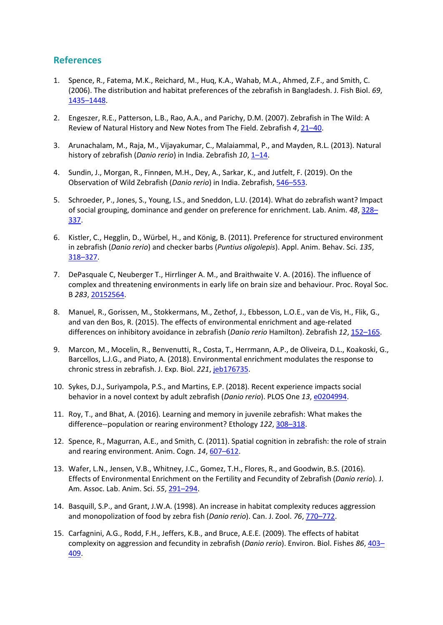## **References**

- <span id="page-1-0"></span>1. Spence, R., Fatema, M.K., Reichard, M., Huq, K.A., Wahab, M.A., Ahmed, Z.F., and Smith, C. (2006). The distribution and habitat preferences of the zebrafish in Bangladesh. J. Fish Biol. *69*, 1435–[1448.](https://www.researchgate.net/publication/227710591_The_distribution_and_habitat_preferences_of_the_zebrafish_in_Bangladesh)
- 2. Engeszer, R.E., Patterson, L.B., Rao, A.A., and Parichy, D.M. (2007). Zebrafish in The Wild: A Review of Natural History and New Notes from The Field. Zebrafish *4*[, 21](http://dparichy.as.virginia.edu/assets/engeszer...parichy-2007comp.pdf)–40.
- 3. Arunachalam, M., Raja, M., Vijayakumar, C., Malaiammal, P., and Mayden, R.L. (2013). Natural history of zebrafish (*Danio rerio*) in India. Zebrafish 10, 1–[14.](https://www.researchgate.net/publication/236204953_Natural_History_of_Zebrafish_Danio_rerio_in_India)
- 4. Sundin, J., Morgan, R., Finnøen, M.H., Dey, A., Sarkar, K., and Jutfelt, F. (2019). On the Observation of Wild Zebrafish (*Danio rerio*) in India. Zebrafish[, 546](https://www.researchgate.net/publication/336934330_On_the_Observation_of_Wild_Zebrafish_Danio_rerio_in_India)–553.
- 5. Schroeder, P., Jones, S., Young, I.S., and Sneddon, L.U. (2014). What do zebrafish want? Impact of social grouping, dominance and gender on preference for enrichment. Lab. Anim. *48*, [328](https://doi.org/10.1177%2F0023677214538239)– [337.](https://doi.org/10.1177%2F0023677214538239)
- 6. Kistler, C., Hegglin, D., Würbel, H., and König, B. (2011). Preference for structured environment in zebrafish (*Danio rerio*) and checker barbs (*Puntius oligolepis*). Appl. Anim. Behav. Sci. *135*, 318–[327.](https://doi.org/10.1016/j.applanim.2011.10.014)
- 7. DePasquale C, Neuberger T., Hirrlinger A. M., and Braithwaite V. A. (2016). The influence of complex and threatening environments in early life on brain size and behaviour. Proc. Royal Soc. B *283*[, 20152564.](https://www.researchgate.net/publication/292190506_The_influence_of_complex_and_threatening_environments_in_early_life_on_brain_size_and_behaviour)
- 8. Manuel, R., Gorissen, M., Stokkermans, M., Zethof, J., Ebbesson, L.O.E., van de Vis, H., Flik, G., and van den Bos, R. (2015). The effects of environmental enrichment and age-related differences on inhibitory avoidance in zebrafish (*Danio rerio* Hamilton). Zebrafish *12*, [152](https://www.researchgate.net/publication/272082962_The_Effects_of_Environmental_Enrichment_and_Age-Related_Differences_on_Inhibitory_Avoidance_in_Zebrafish_Danio_rerio_Hamilton)–165.
- 9. Marcon, M., Mocelin, R., Benvenutti, R., Costa, T., Herrmann, A.P., de Oliveira, D.L., Koakoski, G., Barcellos, L.J.G., and Piato, A. (2018). Environmental enrichment modulates the response to chronic stress in zebrafish. J. Exp. Biol. *221*[, jeb176735.](https://jeb.biologists.org/content/jexbio/221/4/jeb176735.full.pdf)
- 10. Sykes, D.J., Suriyampola, P.S., and Martins, E.P. (2018). Recent experience impacts social behavior in a novel context by adult zebrafish (*Danio rerio*). PLOS One *13*, [e0204994.](https://journals.plos.org/plosone/article?id=10.1371/journal.pone.0204994)
- 11. Roy, T., and Bhat, A. (2016). Learning and memory in juvenile zebrafish: What makes the difference--population or rearing environment? Ethology *122*, [308](https://doi.org/10.1111/eth.12470)–318.
- 12. Spence, R., Magurran, A.E., and Smith, C. (2011). Spatial cognition in zebrafish: the role of strain and rearing environment. Anim. Cogn. 14, [607](https://link.springer.com/article/10.1007/s10071-011-0391-8)-612.
- 13. Wafer, L.N., Jensen, V.B., Whitney, J.C., Gomez, T.H., Flores, R., and Goodwin, B.S. (2016). Effects of Environmental Enrichment on the Fertility and Fecundity of Zebrafish (*Danio rerio*). J. Am. Assoc. Lab. Anim. Sci. *55*[, 291](https://www.researchgate.net/publication/303787238_Effects_of_Environmental_Enrichment_on_the_Fertility_and_Fecundity_of_Zebrafish_Danio_rerio)–294.
- 14. Basquill, S.P., and Grant, J.W.A. (1998). An increase in habitat complexity reduces aggression and monopolization of food by zebra fish (*Danio rerio*). Can. J. Zool. *76*[, 770](https://www.researchgate.net/publication/240673774_An_increase_in_habitat_complexity_reduces_aggression_and_monopolization_of_food_by_zebra_fish_Danio_rerio)–772.
- 15. Carfagnini, A.G., Rodd, F.H., Jeffers, K.B., and Bruce, A.E.E. (2009). The effects of habitat complexity on aggression and fecundity in zebrafish (*Danio rerio*). Environ. Biol. Fishes *86*, [403](https://link.springer.com/article/10.1007/s10641-009-9539-7)– [409.](https://link.springer.com/article/10.1007/s10641-009-9539-7)